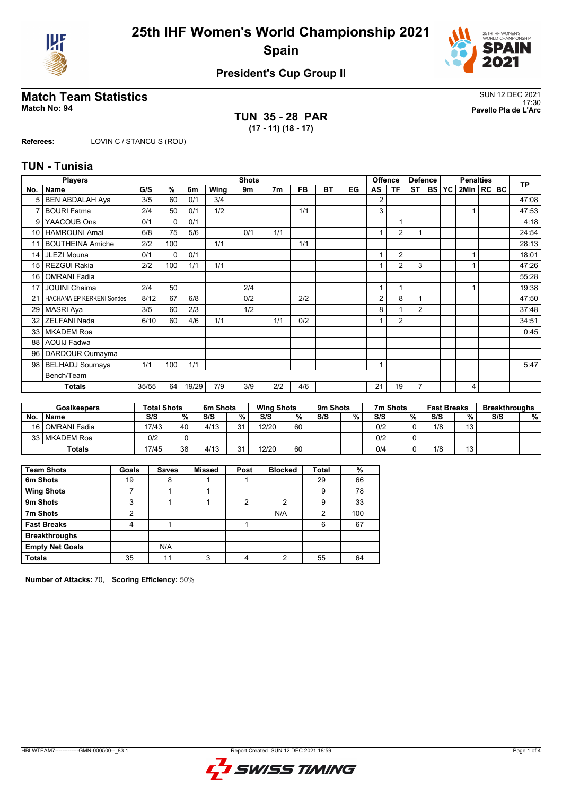



# **President's Cup Group II**

# **Match Team Statistics** SUN 12 DEC 2021

**TUN 35 - 28 PAR (17 - 11) (18 - 17)**

17:30 **Match No: 94 Pavello Pla de L'Arc**

**Referees:** LOVIN C / STANCU S (ROU)

### **TUN - Tunisia**

|                 | <b>Players</b>                   | <b>Shots</b> |              |       |      |     |                |           |           |    | <b>Offence</b><br><b>Defence</b> |                |                | <b>Penalties</b> |           |                |  | <b>TP</b> |       |
|-----------------|----------------------------------|--------------|--------------|-------|------|-----|----------------|-----------|-----------|----|----------------------------------|----------------|----------------|------------------|-----------|----------------|--|-----------|-------|
| No.             | <b>Name</b>                      | G/S          | %            | 6m    | Wing | 9m  | 7 <sub>m</sub> | <b>FB</b> | <b>BT</b> | EG | AS                               | ΤF             | <b>ST</b>      | <b>BS</b>        | <b>YC</b> | 2Min   RC   BC |  |           |       |
|                 | <b>BEN ABDALAH Aya</b>           | 3/5          | 60           | 0/1   | 3/4  |     |                |           |           |    | 2                                |                |                |                  |           |                |  |           | 47:08 |
| 7               | <b>BOURI Fatma</b>               | 2/4          | 50           | 0/1   | 1/2  |     |                | 1/1       |           |    | 3                                |                |                |                  |           |                |  |           | 47:53 |
| 9               | YAACOUB Ons                      | 0/1          | 0            | 0/1   |      |     |                |           |           |    |                                  |                |                |                  |           |                |  |           | 4:18  |
| 10 <sup>°</sup> | <b>HAMROUNI Amal</b>             | 6/8          | 75           | 5/6   |      | 0/1 | 1/1            |           |           |    |                                  | $\overline{2}$ |                |                  |           |                |  |           | 24:54 |
| 11              | <b>BOUTHEINA Amiche</b>          | 2/2          | 100          |       | 1/1  |     |                | 1/1       |           |    |                                  |                |                |                  |           |                |  |           | 28:13 |
| 14              | JLEZI Mouna                      | 0/1          | $\mathbf{0}$ | 0/1   |      |     |                |           |           |    |                                  | $\overline{2}$ |                |                  |           |                |  |           | 18:01 |
| 15              | <b>REZGUI Rakia</b>              | 2/2          | 100          | 1/1   | 1/1  |     |                |           |           |    |                                  | $\overline{2}$ | 3              |                  |           |                |  |           | 47:26 |
| 16              | <b>OMRANI Fadia</b>              |              |              |       |      |     |                |           |           |    |                                  |                |                |                  |           |                |  |           | 55:28 |
| 17              | <b>JOUINI Chaima</b>             | 2/4          | 50           |       |      | 2/4 |                |           |           |    | 4                                | 1              |                |                  |           |                |  |           | 19:38 |
| 21              | <b>HACHANA EP KERKENI Sondes</b> | 8/12         | 67           | 6/8   |      | 0/2 |                | 2/2       |           |    | $\overline{2}$                   | 8              | 1              |                  |           |                |  |           | 47:50 |
| 29              | MASRI Aya                        | 3/5          | 60           | 2/3   |      | 1/2 |                |           |           |    | 8                                |                | $\overline{2}$ |                  |           |                |  |           | 37:48 |
| 32              | <b>ZELFANI Nada</b>              | 6/10         | 60           | 4/6   | 1/1  |     | 1/1            | 0/2       |           |    |                                  | $\overline{2}$ |                |                  |           |                |  |           | 34:51 |
| 33              | <b>MKADEM Roa</b>                |              |              |       |      |     |                |           |           |    |                                  |                |                |                  |           |                |  |           | 0:45  |
| 88              | <b>AOUIJ Fadwa</b>               |              |              |       |      |     |                |           |           |    |                                  |                |                |                  |           |                |  |           |       |
| 96              | DARDOUR Oumayma                  |              |              |       |      |     |                |           |           |    |                                  |                |                |                  |           |                |  |           |       |
| 98 <sup>1</sup> | <b>BELHADJ</b> Soumaya           | 1/1          | 100          | 1/1   |      |     |                |           |           |    | $\overline{A}$                   |                |                |                  |           |                |  |           | 5:47  |
|                 | Bench/Team                       |              |              |       |      |     |                |           |           |    |                                  |                |                |                  |           |                |  |           |       |
|                 | <b>Totals</b>                    | 35/55        | 64           | 19/29 | 7/9  | 3/9 | 2/2            | 4/6       |           |    | 21                               | 19             | 7              |                  |           | 4              |  |           |       |

|      | <b>Goalkeepers</b> | Total Shots |    | 6m Shots |          | <b>Wing Shots</b> |    | 9m Shots |   | 7m Shots |   | <b>Fast Breaks</b> |         | <b>Breakthroughs</b> |   |
|------|--------------------|-------------|----|----------|----------|-------------------|----|----------|---|----------|---|--------------------|---------|----------------------|---|
| No.  | <b>Name</b>        | S/S         | %  | S/S      | %        | S/S               | %  | S/S      | % | S/S      | % | S/S                | 0/2     | S/S                  | % |
| 16 l | l OMRANI Fadia     | 17/43       | 40 | 4/13     | $\Omega$ | 12/20             | 60 |          |   | 0/2      |   | 1/8                | 12<br>- |                      |   |
| 33   | l MKADEM Roa       | 0/2         |    |          |          |                   |    |          |   | 0/2      |   |                    |         |                      |   |
|      | <b>Totals</b>      | 17/45       | 38 | 4/13     | $\sim$   | 12/20             | 60 |          |   | 0/4      |   | 1/8                | 13      |                      |   |

| <b>Team Shots</b>      | Goals | <b>Saves</b> | <b>Missed</b> | Post | <b>Blocked</b> | <b>Total</b> | %   |
|------------------------|-------|--------------|---------------|------|----------------|--------------|-----|
| 6m Shots               | 19    | 8            |               |      |                | 29           | 66  |
| <b>Wing Shots</b>      |       |              |               |      |                | 9            | 78  |
| 9m Shots               | 3     |              |               | 2    | 2              | 9            | 33  |
| 7m Shots               | 2     |              |               |      | N/A            | 2            | 100 |
| <b>Fast Breaks</b>     | 4     |              |               |      |                | 6            | 67  |
| <b>Breakthroughs</b>   |       |              |               |      |                |              |     |
| <b>Empty Net Goals</b> |       | N/A          |               |      |                |              |     |
| <b>Totals</b>          | 35    | 11           | 3             | 4    | 2              | 55           | 64  |

**Number of Attacks:** 70, **Scoring Efficiency:** 50%

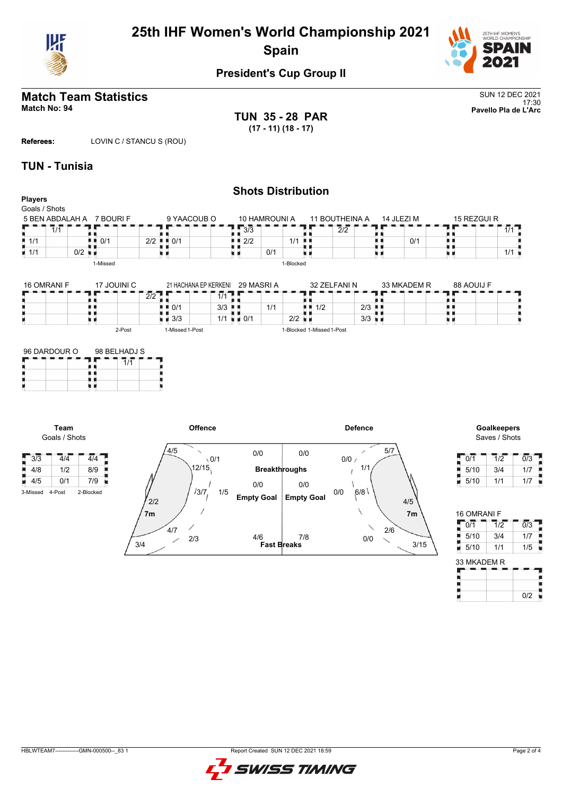



# **President's Cup Group II**

### **Match Team Statistics** SUN 12 DEC 2021 17:30 **Match No: 94 Pavello Pla de L'Arc**

**TUN 35 - 28 PAR (17 - 11) (18 - 17)**

**Referees:** LOVIN C / STANCU S (ROU)

### **TUN - Tunisia**

Ē,

п

п

**Team** Goals / Shots

 $3/3$   $4/4$   $4/4$  $4/8$   $1/2$   $8/9$  $4/5$  0/1 7/9

#### **Shots Distribution Players** Goals / Shots 9 YAACOUB O 14 JLEZI M 15 REZGUI R 5 BEN ABDALAH A 7 BOURI F 10 HAMROUNI A 11 BOUTHEINA A Е  $7/1$  $1/1$  $\frac{1}{2}$  $\frac{1}{2}$  2<br> $\frac{1}{2}$  0/1 3/3 89, A A F, A A  $1/1$  $2/2$  | 0/1 机机 0/1 H)  $2/2$  1/1 ā  $\frac{1}{1}$  1/1 0/2  $\frac{1}{1}$ 0/1 1/1 υø xв u p υø x 1-Missed 1-Blocked 16 OMRANI F 17 JOUINI C 33 MKADEM R 88 AOUIJ F 32 ZELFANI N 21 HACHANA EP KERKENI 29 MASRI A t e  $\bar{2}/2$  T  $\frac{1}{1/1}$ <br> $\frac{1}{3/3}$ ä, п ٠e e<br>S  $\begin{array}{|c|c|c|c|}\n\hline\n\textbf{1} & \textbf{1} & \textbf{1} \\
\hline\n\textbf{1} & \textbf{1}/2 & \textbf{2}/3 & \textbf{1} \\
\hline\n\end{array}$ O ×в 1/1  $\parallel$  0/1  $\parallel$  3/3  $\frac{3}{3}$   $\frac{3}{1}$   $\frac{1}{2}$   $\frac{1}{2}$   $\frac{1}{2}$   $\frac{1}{2}$   $\frac{1}{2}$   $\frac{1}{2}$   $\frac{1}{2}$   $\frac{1}{2}$   $\frac{1}{2}$   $\frac{1}{2}$   $\frac{1}{2}$   $\frac{1}{2}$   $\frac{1}{2}$   $\frac{1}{2}$   $\frac{1}{2}$   $\frac{1}{2}$   $\frac{1}{2}$   $\frac{1}{2}$   $\frac{1}{2}$   $\frac{1}{2}$   $3/3$  $\blacksquare$  3/3 | 1/1 u e 2-Post 1-Missed 1-Post 1-Blocked 1-Missed 1-Post 96 DARDOUR O 98 BELHADJ S<br>**Andrew Constant Construction 11** Ŧ.  $7/1$ p H) u p



Saves / Shots

| 0/1  | 1/2 | 0/3 |
|------|-----|-----|
| 5/10 | 3/4 | 1/7 |
| 5/10 | 1/1 | 1/7 |

| 16 OMRANI F |                  |                  |
|-------------|------------------|------------------|
| 0/1         | $\overline{1/2}$ | $\overline{0/3}$ |
| 5/10        | 3/4              | 1/7              |
| 5/10        | 1/1              | 1/5              |
| 33 MKADEM R |                  |                  |
|             |                  |                  |
|             |                  | 0/2              |

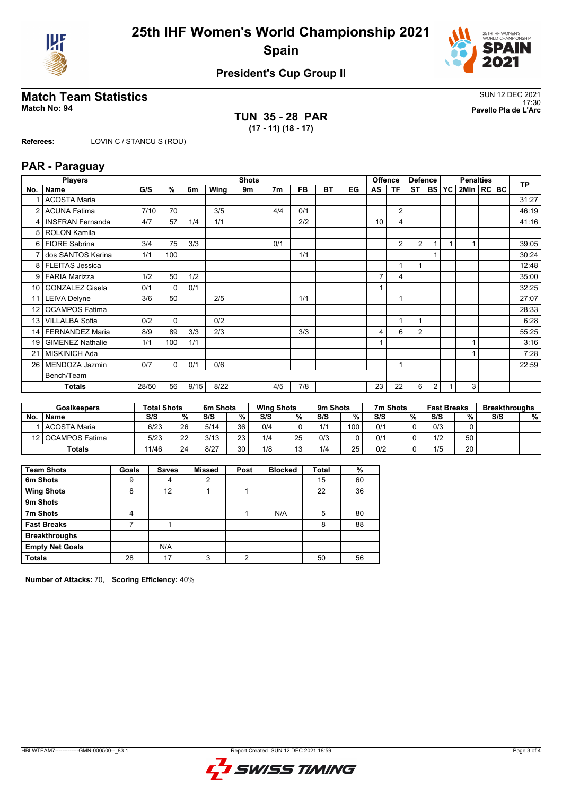



# **President's Cup Group II**

# **Match Team Statistics**<br>Match No: 94<br>Pavello Pla de L'Arc

**TUN 35 - 28 PAR (17 - 11) (18 - 17)**

17:30 **Match No: 94 Pavello Pla de L'Arc**

**Referees:** LOVIN C / STANCU S (ROU)

### **PAR - Paraguay**

|                 | <b>Players</b>          |       |              |      |      | <b>Shots</b> |                |           |           |    |                | <b>Offence</b> | <b>Defence</b> |                | <b>Penalties</b> |              |  |  | <b>TP</b> |
|-----------------|-------------------------|-------|--------------|------|------|--------------|----------------|-----------|-----------|----|----------------|----------------|----------------|----------------|------------------|--------------|--|--|-----------|
| No.             | <b>Name</b>             | G/S   | %            | 6m   | Wing | 9m           | 7 <sub>m</sub> | <b>FB</b> | <b>BT</b> | EG | AS             | <b>TF</b>      | <b>ST</b>      | <b>BS</b>      | <b>YC</b>        | 2Min   RC BC |  |  |           |
|                 | <b>ACOSTA Maria</b>     |       |              |      |      |              |                |           |           |    |                |                |                |                |                  |              |  |  | 31:27     |
| 2               | <b>ACUNA Fatima</b>     | 7/10  | 70           |      | 3/5  |              | 4/4            | 0/1       |           |    |                | $\overline{2}$ |                |                |                  |              |  |  | 46:19     |
| 4               | <b>INSFRAN Fernanda</b> | 4/7   | 57           | 1/4  | 1/1  |              |                | 2/2       |           |    | 10             | 4              |                |                |                  |              |  |  | 41:16     |
|                 | 5   ROLON Kamila        |       |              |      |      |              |                |           |           |    |                |                |                |                |                  |              |  |  |           |
| 6 I             | <b>FIORE Sabrina</b>    | 3/4   | 75           | 3/3  |      |              | 0/1            |           |           |    |                | 2              | $\overline{2}$ |                |                  |              |  |  | 39:05     |
|                 | dos SANTOS Karina       | 1/1   | 100          |      |      |              |                | 1/1       |           |    |                |                |                |                |                  |              |  |  | 30:24     |
| 8 <sup>1</sup>  | <b>FLEITAS Jessica</b>  |       |              |      |      |              |                |           |           |    |                |                |                |                |                  |              |  |  | 12:48     |
| 9               | <b>FARIA Marizza</b>    | 1/2   | 50           | 1/2  |      |              |                |           |           |    | 7              | 4              |                |                |                  |              |  |  | 35:00     |
| 10              | <b>GONZALEZ Gisela</b>  | 0/1   | $\mathbf{0}$ | 0/1  |      |              |                |           |           |    |                |                |                |                |                  |              |  |  | 32:25     |
| 11              | <b>LEIVA Delyne</b>     | 3/6   | 50           |      | 2/5  |              |                | 1/1       |           |    |                |                |                |                |                  |              |  |  | 27:07     |
| 12 <sup>2</sup> | <b>OCAMPOS Fatima</b>   |       |              |      |      |              |                |           |           |    |                |                |                |                |                  |              |  |  | 28:33     |
| 13 <sup>1</sup> | <b>VILLALBA Sofia</b>   | 0/2   | $\mathbf{0}$ |      | 0/2  |              |                |           |           |    |                | 1              |                |                |                  |              |  |  | 6:28      |
|                 | 14   FERNANDEZ Maria    | 8/9   | 89           | 3/3  | 2/3  |              |                | 3/3       |           |    | $\overline{4}$ | 6              | $\overline{2}$ |                |                  |              |  |  | 55:25     |
| 19              | <b>GIMENEZ Nathalie</b> | 1/1   | 100          | 1/1  |      |              |                |           |           |    |                |                |                |                |                  |              |  |  | 3:16      |
| 21              | <b>MISKINICH Ada</b>    |       |              |      |      |              |                |           |           |    |                |                |                |                |                  |              |  |  | 7:28      |
| 26              | MENDOZA Jazmin          | 0/7   | $\mathbf 0$  | 0/1  | 0/6  |              |                |           |           |    |                | 1              |                |                |                  |              |  |  | 22:59     |
|                 | Bench/Team              |       |              |      |      |              |                |           |           |    |                |                |                |                |                  |              |  |  |           |
|                 | <b>Totals</b>           | 28/50 | 56           | 9/15 | 8/22 |              | 4/5            | 7/8       |           |    | 23             | 22             | 6              | $\overline{2}$ |                  | 3            |  |  |           |

|           | <b>Goalkeepers</b> | <b>Total Shots</b> |    | 6m Shots |                 | <b>Wing Shots</b> |                 | 9m Shots |     | 7m Shots |   | <b>Fast Breaks</b> |    | <b>Breakthroughs</b> |   |
|-----------|--------------------|--------------------|----|----------|-----------------|-------------------|-----------------|----------|-----|----------|---|--------------------|----|----------------------|---|
| <b>No</b> | <b>Name</b>        | S/S                | %  | S/S      | %               | S/S               | %               | S/S      | %   | S/S      | % | S/S                | %  | S/S                  | % |
|           | l ACOSTA Maria     | 6/23               | 26 | 5/14     | 36 <sub>1</sub> | 0/4               |                 | 1/1      | 100 | 0/1      |   | 0/3                |    |                      |   |
|           | 12 OCAMPOS Fatima  | 5/23               | 22 | 3/13     | 23              | 1/4               | 25              | 0/3      |     | 0/1      |   | 1/2                | 50 |                      |   |
|           | <b>Totals</b>      | 11/46              | 24 | 8/27     | 30              | 1/8               | 13 <sub>1</sub> | 1/4      | 25  | 0/2      |   | 1/5                | 20 |                      |   |

| <b>Team Shots</b>      | Goals | <b>Saves</b> | <b>Missed</b> | Post | <b>Blocked</b> | <b>Total</b> | %  |
|------------------------|-------|--------------|---------------|------|----------------|--------------|----|
| 6m Shots               | 9     | 4            | 2             |      |                | 15           | 60 |
| <b>Wing Shots</b>      | 8     | 12           |               |      |                | 22           | 36 |
| 9m Shots               |       |              |               |      |                |              |    |
| 7m Shots               | 4     |              |               |      | N/A            | 5            | 80 |
| <b>Fast Breaks</b>     |       |              |               |      |                | 8            | 88 |
| <b>Breakthroughs</b>   |       |              |               |      |                |              |    |
| <b>Empty Net Goals</b> |       | N/A          |               |      |                |              |    |
| <b>Totals</b>          | 28    | 17           | 3             | c    |                | 50           | 56 |

**Number of Attacks:** 70, **Scoring Efficiency:** 40%